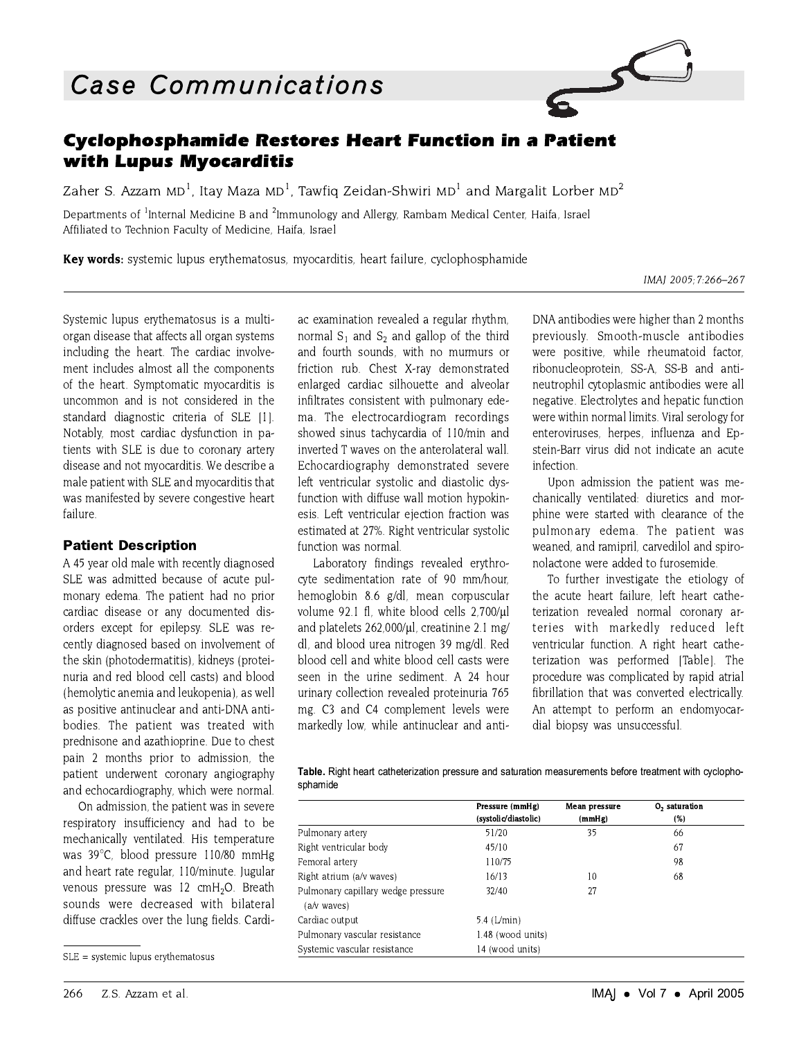# Case Communications



# **Cyclophosphamide Restores Heart Function in a Patient** with Lupus Myocarditis

Zaher S. Azzam  $MD<sup>1</sup>$ . Itav Maza  $MD<sup>1</sup>$ . Tawfiq Zeidan-Shwiri MD<sup>1</sup> and Margalit Lorber MD<sup>2</sup>

Departments of <sup>1</sup>Internal Medicine B and <sup>2</sup>Immunology and Allergy, Rambam Medical Center, Haifa, Israel Affiliated to Technion Faculty of Medicine, Haifa, Israel

Key words: systemic lupus erythematosus, myocarditis, heart failure, cyclophosphamide

IMAI 2005:7:266-267

Systemic lupus erythematosus is a multiorgan disease that affects all organ systems including the heart. The cardiac involvement includes almost all the components of the heart. Symptomatic myocarditis is uncommon and is not considered in the standard diagnostic criteria of SLE [1]. Notably, most cardiac dysfunction in patients with SLE is due to coronary artery disease and not myocarditis. We describe a male patient with SLE and myocarditis that was manifested by severe congestive heart failure.

#### **Patient Description**

A 45 year old male with recently diagnosed SLE was admitted because of acute pulmonary edema. The patient had no prior cardiac disease or any documented disorders except for epilepsy. SLE was recently diagnosed based on involvement of the skin (photodermatitis), kidneys (proteinuria and red blood cell casts) and blood (hemolytic anemia and leukopenia), as well as positive antinuclear and anti-DNA antibodies. The patient was treated with prednisone and azathioprine. Due to chest pain 2 months prior to admission, the patient underwent coronary angiography and echocardiography, which were normal.

On admission, the patient was in severe respiratory insufficiency and had to be mechanically ventilated. His temperature was 39°C, blood pressure 110/80 mmHg and heart rate regular, 110/minute. Jugular venous pressure was 12 cmH<sub>2</sub>O. Breath sounds were decreased with bilateral diffuse crackles over the lung fields. Cardiac examination revealed a regular rhythm, normal  $S_1$  and  $S_2$  and gallop of the third and fourth sounds, with no murmurs or friction rub. Chest X-ray demonstrated enlarged cardiac silhouette and alveolar infiltrates consistent with pulmonary edema. The electrocardiogram recordings showed sinus tachycardia of 110/min and inverted T waves on the anterolateral wall. Echocardiography demonstrated severe left ventricular systolic and diastolic dysfunction with diffuse wall motion hypokinesis. Left ventricular ejection fraction was estimated at 27%. Right ventricular systolic function was normal.

Laboratory findings revealed erythrocyte sedimentation rate of 90 mm/hour, hemoglobin 8.6 g/dl. mean corpuscular volume 92.1 fl. white blood cells 2.700/ul and platelets 262,000/ul. creatinine 2.1 mg/ dl, and blood urea nitrogen 39 mg/dl. Red blood cell and white blood cell casts were seen in the urine sediment. A 24 hour urinary collection revealed proteinuria 765 mg. C3 and C4 complement levels were markedly low, while antinuclear and anti-

DNA antibodies were higher than 2 months previously. Smooth-muscle antibodies were positive, while rheumatoid factor, ribonucleoprotein, SS-A, SS-B and antineutrophil cytoplasmic antibodies were all negative. Electrolytes and hepatic function were within normal limits. Viral serology for enteroviruses, heroes, influenza and Epstein-Barr virus did not indicate an acute infection.

Upon admission the patient was mechanically ventilated: diuretics and morphine were started with clearance of the pulmonary edema. The patient was weaned, and ramipril, carvedilol and spironolactone were added to furosemide.

To further investigate the etiology of the acute heart failure. left heart catheterization revealed normal coronary arteries with markedly reduced left ventricular function. A right heart catheterization was performed [Table]. The procedure was complicated by rapid atrial fibrillation that was converted electrically. An attempt to perform an endomyocardial biopsy was unsuccessful.

Table. Right heart catheterization pressure and saturation measurements before treatment with cyclophosphamide

|                                                   | Pressure (mmHg)<br>(systolic/diastolic) | Mean pressure<br>(mmHg) | $O2$ saturation<br>(%) |  |  |
|---------------------------------------------------|-----------------------------------------|-------------------------|------------------------|--|--|
| Pulmonary artery                                  | 51/20                                   | 35                      | 66                     |  |  |
| Right ventricular body                            | 45/10                                   |                         | 67                     |  |  |
| Femoral artery                                    | 110/75                                  |                         | 98                     |  |  |
| Right atrium (a/v waves)                          | 16/13                                   | 10                      | 68                     |  |  |
| Pulmonary capillary wedge pressure<br>(a/v waves) | 32/40                                   | 27                      |                        |  |  |
| Cardiac output                                    | 5.4 $(L/min)$                           |                         |                        |  |  |
| Pulmonary vascular resistance                     | 1.48 (wood units)                       |                         |                        |  |  |
| Systemic vascular resistance                      | 14 (wood units)                         |                         |                        |  |  |

 $SLE = systemic$  lupus erythematosus